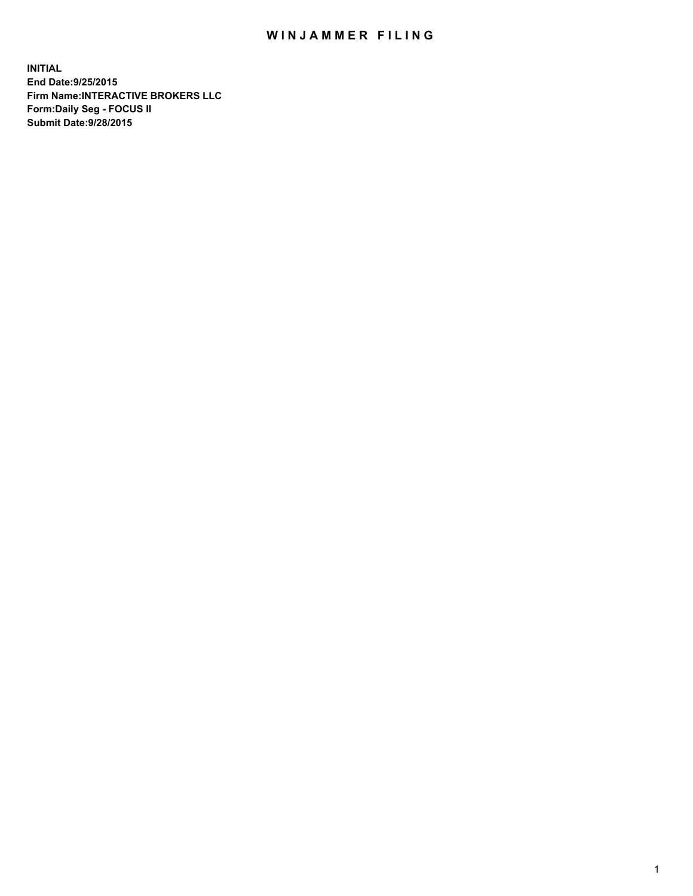## WIN JAMMER FILING

**INITIAL End Date:9/25/2015 Firm Name:INTERACTIVE BROKERS LLC Form:Daily Seg - FOCUS II Submit Date:9/28/2015**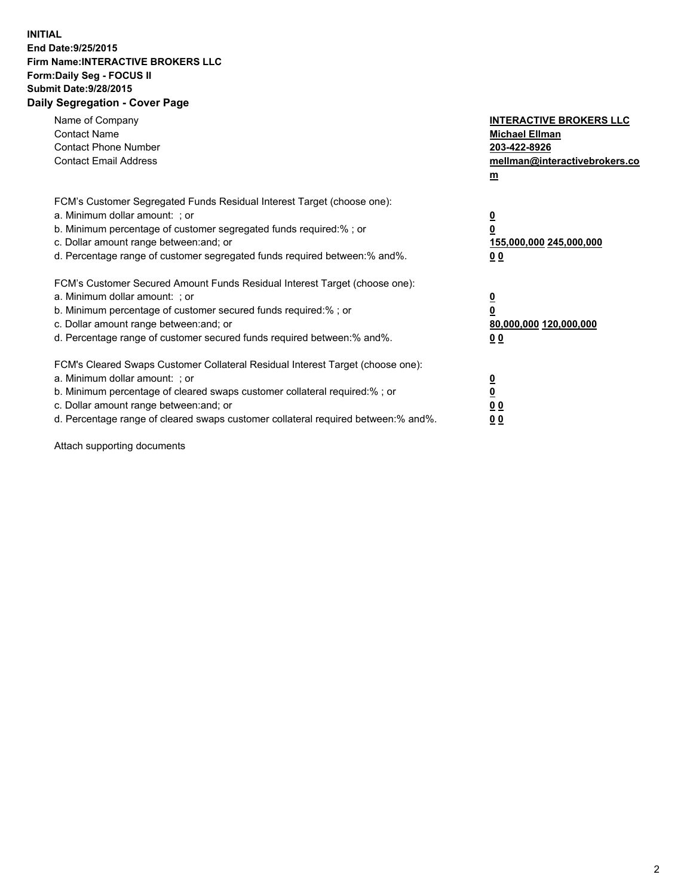## **INITIAL End Date:9/25/2015 Firm Name:INTERACTIVE BROKERS LLC Form:Daily Seg - FOCUS II Submit Date:9/28/2015 Daily Segregation - Cover Page**

| Name of Company<br><b>Contact Name</b><br><b>Contact Phone Number</b><br><b>Contact Email Address</b>                                                                                                                                                                                                                          | <b>INTERACTIVE BROKERS LLC</b><br><b>Michael Ellman</b><br>203-422-8926<br>mellman@interactivebrokers.co<br>$\underline{\mathbf{m}}$ |
|--------------------------------------------------------------------------------------------------------------------------------------------------------------------------------------------------------------------------------------------------------------------------------------------------------------------------------|--------------------------------------------------------------------------------------------------------------------------------------|
| FCM's Customer Segregated Funds Residual Interest Target (choose one):<br>a. Minimum dollar amount: ; or<br>b. Minimum percentage of customer segregated funds required:%; or<br>c. Dollar amount range between: and; or<br>d. Percentage range of customer segregated funds required between:% and%.                          | $\overline{\mathbf{0}}$<br>$\overline{\mathbf{0}}$<br>155,000,000 245,000,000<br>00                                                  |
| FCM's Customer Secured Amount Funds Residual Interest Target (choose one):<br>a. Minimum dollar amount: ; or<br>b. Minimum percentage of customer secured funds required:%; or<br>c. Dollar amount range between: and; or<br>d. Percentage range of customer secured funds required between: % and %.                          | $\overline{\mathbf{0}}$<br>$\mathbf 0$<br>80,000,000 120,000,000<br>00                                                               |
| FCM's Cleared Swaps Customer Collateral Residual Interest Target (choose one):<br>a. Minimum dollar amount: ; or<br>b. Minimum percentage of cleared swaps customer collateral required:% ; or<br>c. Dollar amount range between: and; or<br>d. Percentage range of cleared swaps customer collateral required between:% and%. | $\overline{\mathbf{0}}$<br>$\overline{\mathbf{0}}$<br>0 <sub>0</sub><br>0 <sub>0</sub>                                               |

Attach supporting documents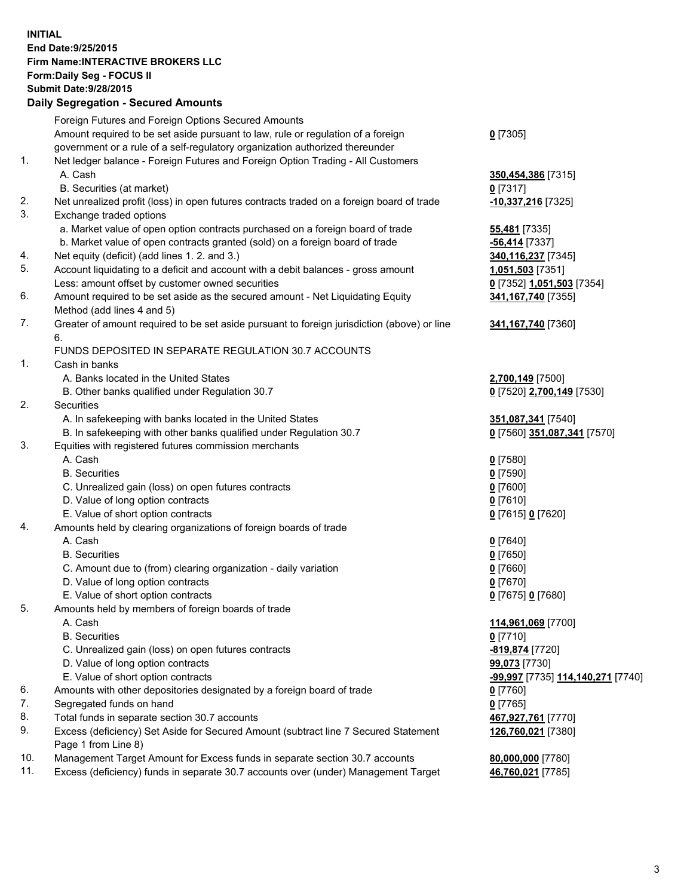## **INITIAL End Date:9/25/2015 Firm Name:INTERACTIVE BROKERS LLC Form:Daily Seg - FOCUS II Submit Date:9/28/2015 Daily Segregation - Secured Amounts**

|                | Daily Jegregation - Jeculed Aniounts                                                        |                                                |
|----------------|---------------------------------------------------------------------------------------------|------------------------------------------------|
|                | Foreign Futures and Foreign Options Secured Amounts                                         |                                                |
|                | Amount required to be set aside pursuant to law, rule or regulation of a foreign            | $0$ [7305]                                     |
|                | government or a rule of a self-regulatory organization authorized thereunder                |                                                |
| 1.             | Net ledger balance - Foreign Futures and Foreign Option Trading - All Customers             |                                                |
|                | A. Cash                                                                                     | 350,454,386 [7315]                             |
|                | B. Securities (at market)                                                                   | 0 [7317]                                       |
| 2.             | Net unrealized profit (loss) in open futures contracts traded on a foreign board of trade   | -10,337,216 [7325]                             |
| 3.             | Exchange traded options                                                                     |                                                |
|                | a. Market value of open option contracts purchased on a foreign board of trade              | <b>55,481</b> [7335]                           |
|                | b. Market value of open contracts granted (sold) on a foreign board of trade                | -56,414 [7337]                                 |
| 4.             | Net equity (deficit) (add lines 1.2. and 3.)                                                | 340,116,237 [7345]                             |
| 5.             | Account liquidating to a deficit and account with a debit balances - gross amount           | 1,051,503 [7351]                               |
|                | Less: amount offset by customer owned securities                                            | 0 [7352] 1,051,503 [7354]                      |
| 6.             | Amount required to be set aside as the secured amount - Net Liquidating Equity              | 341, 167, 740 [7355]                           |
|                | Method (add lines 4 and 5)                                                                  |                                                |
| 7.             | Greater of amount required to be set aside pursuant to foreign jurisdiction (above) or line | 341, 167, 740 [7360]                           |
|                | 6.                                                                                          |                                                |
|                | FUNDS DEPOSITED IN SEPARATE REGULATION 30.7 ACCOUNTS                                        |                                                |
| 1 <sub>1</sub> | Cash in banks                                                                               |                                                |
|                | A. Banks located in the United States                                                       | 2,700,149 [7500]                               |
|                | B. Other banks qualified under Regulation 30.7                                              | 0 [7520] 2,700,149 [7530]                      |
| 2.             | Securities                                                                                  |                                                |
|                | A. In safekeeping with banks located in the United States                                   | 351,087,341 [7540]                             |
|                | B. In safekeeping with other banks qualified under Regulation 30.7                          | 0 [7560] 351,087,341 [7570]                    |
| 3.             | Equities with registered futures commission merchants                                       |                                                |
|                | A. Cash                                                                                     | $0$ [7580]                                     |
|                | <b>B.</b> Securities                                                                        | $0$ [7590]                                     |
|                | C. Unrealized gain (loss) on open futures contracts                                         | $0$ [7600]                                     |
|                | D. Value of long option contracts                                                           | $0$ [7610]                                     |
|                | E. Value of short option contracts                                                          | 0 [7615] 0 [7620]                              |
| 4.             | Amounts held by clearing organizations of foreign boards of trade                           |                                                |
|                | A. Cash                                                                                     | $0$ [7640]                                     |
|                | <b>B.</b> Securities                                                                        | $0$ [7650]                                     |
|                | C. Amount due to (from) clearing organization - daily variation                             | $0$ [7660]                                     |
|                | D. Value of long option contracts                                                           | $0$ [7670]                                     |
|                | E. Value of short option contracts                                                          | 0 [7675] 0 [7680]                              |
| 5.             | Amounts held by members of foreign boards of trade                                          |                                                |
|                | A. Cash                                                                                     | 114,961,069 [7700]                             |
|                | <b>B.</b> Securities                                                                        | $0$ [7710]                                     |
|                | C. Unrealized gain (loss) on open futures contracts                                         | -819,874 [7720]                                |
|                | D. Value of long option contracts                                                           | 99,073 [7730]                                  |
|                | E. Value of short option contracts                                                          | <mark>-99,997</mark> [7735] 114,140,271 [7740] |
| 6.             | Amounts with other depositories designated by a foreign board of trade                      | $0$ [7760]                                     |
| 7.             | Segregated funds on hand                                                                    | $0$ [7765]                                     |
| 8.             | Total funds in separate section 30.7 accounts                                               | 467,927,761 [7770]                             |
| 9.             | Excess (deficiency) Set Aside for Secured Amount (subtract line 7 Secured Statement         | 126,760,021 [7380]                             |
|                | Page 1 from Line 8)                                                                         |                                                |
| 10.            | Management Target Amount for Excess funds in separate section 30.7 accounts                 | 80,000,000 [7780]                              |
| 11.            | Excess (deficiency) funds in separate 30.7 accounts over (under) Management Target          | 46,760,021 [7785]                              |
|                |                                                                                             |                                                |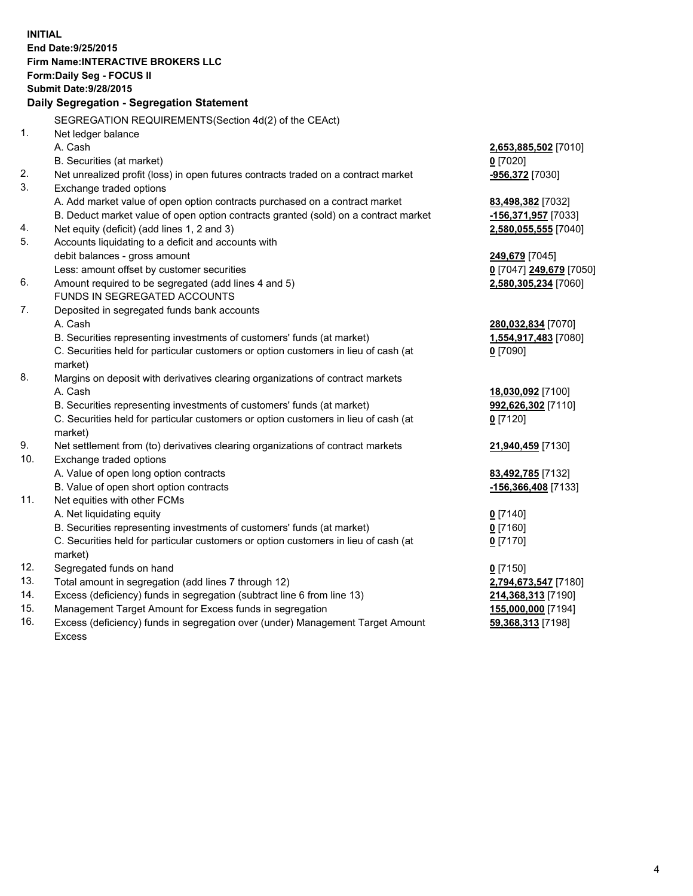**INITIAL End Date:9/25/2015 Firm Name:INTERACTIVE BROKERS LLC Form:Daily Seg - FOCUS II Submit Date:9/28/2015 Daily Segregation - Segregation Statement** SEGREGATION REQUIREMENTS(Section 4d(2) of the CEAct) 1. Net ledger balance A. Cash **2,653,885,502** [7010] B. Securities (at market) **0** [7020] 2. Net unrealized profit (loss) in open futures contracts traded on a contract market **-956,372** [7030] 3. Exchange traded options A. Add market value of open option contracts purchased on a contract market **83,498,382** [7032] B. Deduct market value of open option contracts granted (sold) on a contract market **-156,371,957** [7033] 4. Net equity (deficit) (add lines 1, 2 and 3) **2,580,055,555** [7040] 5. Accounts liquidating to a deficit and accounts with debit balances - gross amount **249,679** [7045] Less: amount offset by customer securities **0** [7047] **249,679** [7050] 6. Amount required to be segregated (add lines 4 and 5) **2,580,305,234** [7060] FUNDS IN SEGREGATED ACCOUNTS 7. Deposited in segregated funds bank accounts A. Cash **280,032,834** [7070] B. Securities representing investments of customers' funds (at market) **1,554,917,483** [7080] C. Securities held for particular customers or option customers in lieu of cash (at market) **0** [7090] 8. Margins on deposit with derivatives clearing organizations of contract markets A. Cash **18,030,092** [7100] B. Securities representing investments of customers' funds (at market) **992,626,302** [7110] C. Securities held for particular customers or option customers in lieu of cash (at market) **0** [7120] 9. Net settlement from (to) derivatives clearing organizations of contract markets **21,940,459** [7130] 10. Exchange traded options A. Value of open long option contracts **83,492,785** [7132] B. Value of open short option contracts **-156,366,408** [7133] 11. Net equities with other FCMs A. Net liquidating equity **0** [7140] B. Securities representing investments of customers' funds (at market) **0** [7160] C. Securities held for particular customers or option customers in lieu of cash (at market) **0** [7170] 12. Segregated funds on hand **0** [7150] 13. Total amount in segregation (add lines 7 through 12) **2,794,673,547** [7180] 14. Excess (deficiency) funds in segregation (subtract line 6 from line 13) **214,368,313** [7190] 15. Management Target Amount for Excess funds in segregation **155,000,000** [7194] **59,368,313** [7198]

16. Excess (deficiency) funds in segregation over (under) Management Target Amount Excess